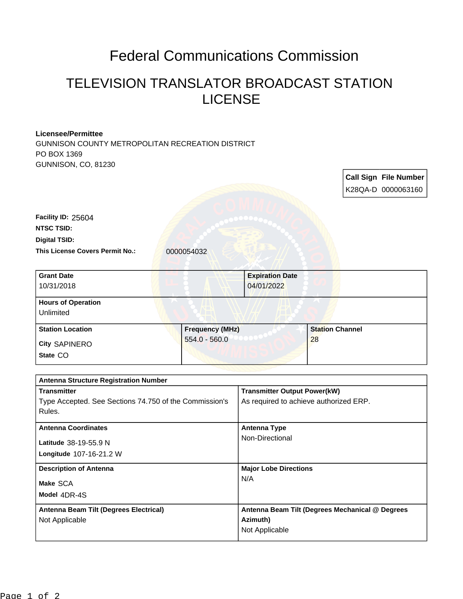## Federal Communications Commission

## TELEVISION TRANSLATOR BROADCAST STATION LICENSE

## **Licensee/Permittee**

GUNNISON COUNTY METROPOLITAN RECREATION DISTRICT PO BOX 1369 GUNNISON, CO, 81230

|                                                        |                        |                                                 |                        |  | <b>Call Sign File Number</b> |
|--------------------------------------------------------|------------------------|-------------------------------------------------|------------------------|--|------------------------------|
|                                                        |                        |                                                 |                        |  | K28QA-D 0000063160           |
|                                                        |                        |                                                 |                        |  |                              |
| Facility ID: 25604                                     |                        |                                                 |                        |  |                              |
| <b>NTSC TSID:</b>                                      |                        |                                                 |                        |  |                              |
| <b>Digital TSID:</b>                                   |                        |                                                 |                        |  |                              |
| This License Covers Permit No.:                        | 0000054032             |                                                 |                        |  |                              |
| <b>Grant Date</b>                                      |                        | <b>Expiration Date</b>                          |                        |  |                              |
| 10/31/2018                                             |                        | 04/01/2022                                      |                        |  |                              |
| <b>Hours of Operation</b>                              |                        |                                                 |                        |  |                              |
| Unlimited                                              |                        |                                                 |                        |  |                              |
| <b>Station Location</b>                                | <b>Frequency (MHz)</b> |                                                 | <b>Station Channel</b> |  |                              |
| <b>City SAPINERO</b>                                   | $554.0 - 560.0$        |                                                 | 28                     |  |                              |
| State CO                                               |                        |                                                 |                        |  |                              |
|                                                        |                        |                                                 |                        |  |                              |
| <b>Antenna Structure Registration Number</b>           |                        |                                                 |                        |  |                              |
| <b>Transmitter</b>                                     |                        | <b>Transmitter Output Power(kW)</b>             |                        |  |                              |
| Type Accepted. See Sections 74.750 of the Commission's |                        | As required to achieve authorized ERP.          |                        |  |                              |
| Rules.                                                 |                        |                                                 |                        |  |                              |
| <b>Antenna Coordinates</b><br>Latitude 38-19-55.9 N    |                        | <b>Antenna Type</b>                             |                        |  |                              |
|                                                        |                        | Non-Directional                                 |                        |  |                              |
| Longitude 107-16-21.2 W                                |                        |                                                 |                        |  |                              |
| <b>Description of Antenna</b>                          |                        | <b>Major Lobe Directions</b>                    |                        |  |                              |
| Make SCA                                               |                        | N/A                                             |                        |  |                              |
| Model 4DR-4S                                           |                        |                                                 |                        |  |                              |
| Antenna Beam Tilt (Degrees Electrical)                 |                        | Antenna Beam Tilt (Degrees Mechanical @ Degrees |                        |  |                              |
| Not Applicable                                         |                        | Azimuth)                                        |                        |  |                              |
|                                                        |                        | Not Applicable                                  |                        |  |                              |